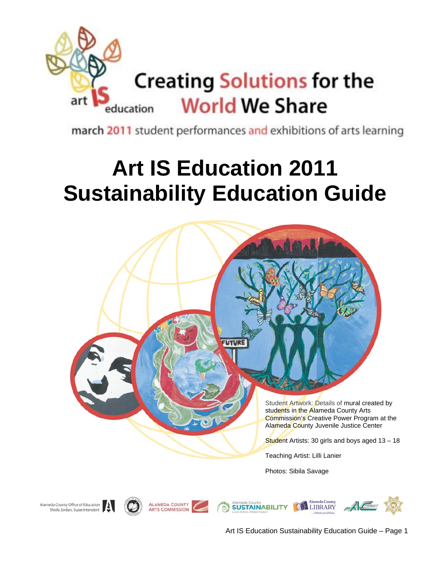

march 2011 student performances and exhibitions of arts learning

# **Art IS Education 2011 Sustainability Education Guide**



Art IS Education Sustainability Education Guide – Page 1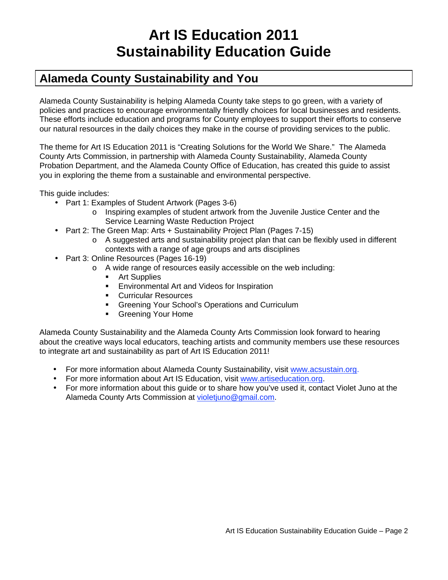## **Art IS Education 2011 Sustainability Education Guide**

### **Alameda County Sustainability and You**

Alameda County Sustainability is helping Alameda County take steps to go green, with a variety of policies and practices to encourage environmentally friendly choices for local businesses and residents. These efforts include education and programs for County employees to support their efforts to conserve our natural resources in the daily choices they make in the course of providing services to the public.

The theme for Art IS Education 2011 is "Creating Solutions for the World We Share." The Alameda County Arts Commission, in partnership with Alameda County Sustainability, Alameda County Probation Department, and the Alameda County Office of Education, has created this guide to assist you in exploring the theme from a sustainable and environmental perspective.

This guide includes:

- Part 1: Examples of Student Artwork (Pages 3-6)
	- o Inspiring examples of student artwork from the Juvenile Justice Center and the Service Learning Waste Reduction Project
- Part 2: The Green Map: Arts + Sustainability Project Plan (Pages 7-15)
	- $\circ$  A suggested arts and sustainability project plan that can be flexibly used in different contexts with a range of age groups and arts disciplines
- Part 3: Online Resources (Pages 16-19)
	- o A wide range of resources easily accessible on the web including:
		- **Art Supplies**
		- **Environmental Art and Videos for Inspiration**
		- **Curricular Resources**
		- **Greening Your School's Operations and Curriculum**
		- **Greening Your Home**

Alameda County Sustainability and the Alameda County Arts Commission look forward to hearing about the creative ways local educators, teaching artists and community members use these resources to integrate art and sustainability as part of Art IS Education 2011!

- For more information about Alameda County Sustainability, visit www.acsustain.org.
- For more information about Art IS Education, visit www.artiseducation.org.
- For more information about this guide or to share how you've used it, contact Violet Juno at the Alameda County Arts Commission at violetjuno@gmail.com.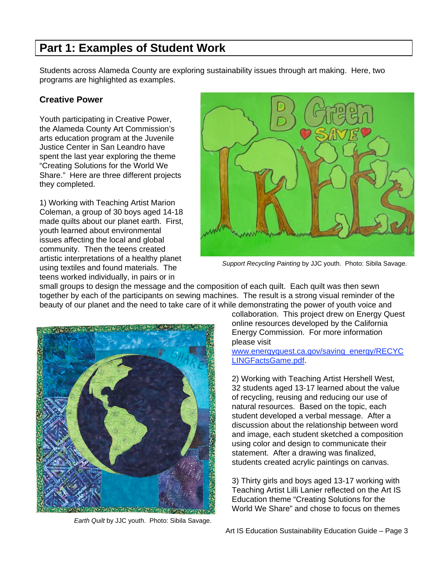### **Part 1: Examples of Student Work**

Students across Alameda County are exploring sustainability issues through art making. Here, two programs are highlighted as examples.

### **Creative Power**

Youth participating in Creative Power, the Alameda County Art Commission's arts education program at the Juvenile Justice Center in San Leandro have spent the last year exploring the theme "Creating Solutions for the World We Share." Here are three different projects they completed.

1) Working with Teaching Artist Marion Coleman, a group of 30 boys aged 14-18 made quilts about our planet earth. First, youth learned about environmental issues affecting the local and global community. Then the teens created artistic interpretations of a healthy planet using textiles and found materials. The teens worked individually, in pairs or in



*Support Recycling Painting* by JJC youth. Photo: Sibila Savage.

small groups to design the message and the composition of each quilt. Each quilt was then sewn together by each of the participants on sewing machines. The result is a strong visual reminder of the beauty of our planet and the need to take care of it while demonstrating the power of youth voice and



*Earth Quilt* by JJC youth. Photo: Sibila Savage.

collaboration. This project drew on Energy Quest online resources developed by the California Energy Commission. For more information please visit

www.energyquest.ca.gov/saving\_energy/RECYC LINGFactsGame.pdf.

2) Working with Teaching Artist Hershell West, 32 students aged 13-17 learned about the value of recycling, reusing and reducing our use of natural resources. Based on the topic, each student developed a verbal message. After a discussion about the relationship between word and image, each student sketched a composition using color and design to communicate their statement. After a drawing was finalized, students created acrylic paintings on canvas.

3) Thirty girls and boys aged 13-17 working with Teaching Artist Lilli Lanier reflected on the Art IS Education theme "Creating Solutions for the World We Share" and chose to focus on themes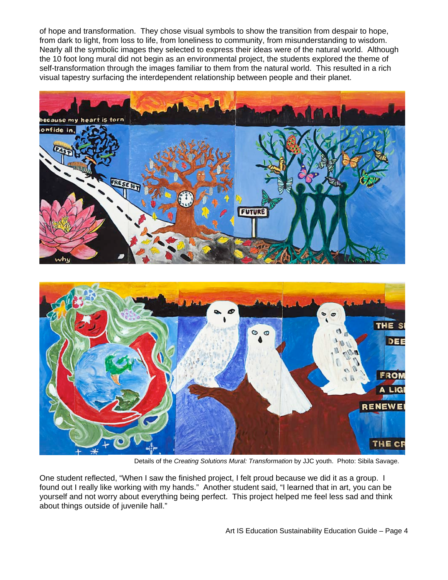of hope and transformation. They chose visual symbols to show the transition from despair to hope, from dark to light, from loss to life, from loneliness to community, from misunderstanding to wisdom. Nearly all the symbolic images they selected to express their ideas were of the natural world. Although the 10 foot long mural did not begin as an environmental project, the students explored the theme of self-transformation through the images familiar to them from the natural world. This resulted in a rich visual tapestry surfacing the interdependent relationship between people and their planet.





Details of the *Creating Solutions Mural: Transformation* by JJC youth. Photo: Sibila Savage.

One student reflected, "When I saw the finished project, I felt proud because we did it as a group. I found out I really like working with my hands." Another student said, "I learned that in art, you can be yourself and not worry about everything being perfect. This project helped me feel less sad and think about things outside of juvenile hall."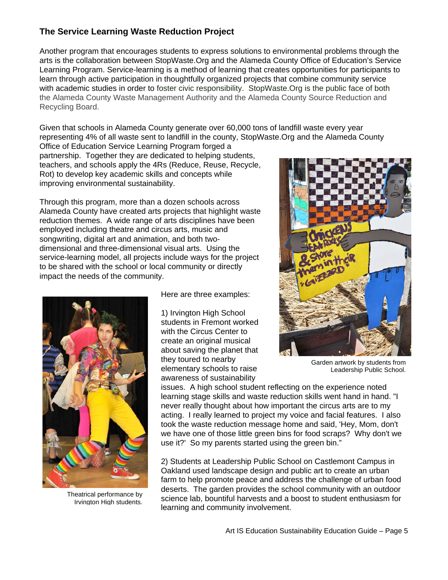### **The Service Learning Waste Reduction Project**

Another program that encourages students to express solutions to environmental problems through the arts is the collaboration between StopWaste.Org and the Alameda County Office of Education's Service Learning Program. Service-learning is a method of learning that creates opportunities for participants to learn through active participation in thoughtfully organized projects that combine community service with academic studies in order to foster civic responsibility. StopWaste.Org is the public face of both the Alameda County Waste Management Authority and the Alameda County Source Reduction and Recycling Board.

Given that schools in Alameda County generate over 60,000 tons of landfill waste every year representing 4% of all waste sent to landfill in the county, StopWaste.Org and the Alameda County

Office of Education Service Learning Program forged a partnership. Together they are dedicated to helping students, teachers, and schools apply the 4Rs (Reduce, Reuse, Recycle, Rot) to develop key academic skills and concepts while improving environmental sustainability.

Through this program, more than a dozen schools across Alameda County have created arts projects that highlight waste reduction themes. A wide range of arts disciplines have been employed including theatre and circus arts, music and songwriting, digital art and animation, and both twodimensional and three-dimensional visual arts. Using the service-learning model, all projects include ways for the project to be shared with the school or local community or directly impact the needs of the community.



Theatrical performance by Irvington High students.

Here are three examples:

1) Irvington High School students in Fremont worked with the Circus Center to create an original musical about saving the planet that they toured to nearby elementary schools to raise awareness of sustainability



Garden artwork by students from Leadership Public School.

issues. A high school student reflecting on the experience noted learning stage skills and waste reduction skills went hand in hand. "I never really thought about how important the circus arts are to my acting. I really learned to project my voice and facial features. I also took the waste reduction message home and said, 'Hey, Mom, don't we have one of those little green bins for food scraps? Why don't we use it?' So my parents started using the green bin."

2) Students at Leadership Public School on Castlemont Campus in Oakland used landscape design and public art to create an urban farm to help promote peace and address the challenge of urban food deserts. The garden provides the school community with an outdoor science lab, bountiful harvests and a boost to student enthusiasm for learning and community involvement.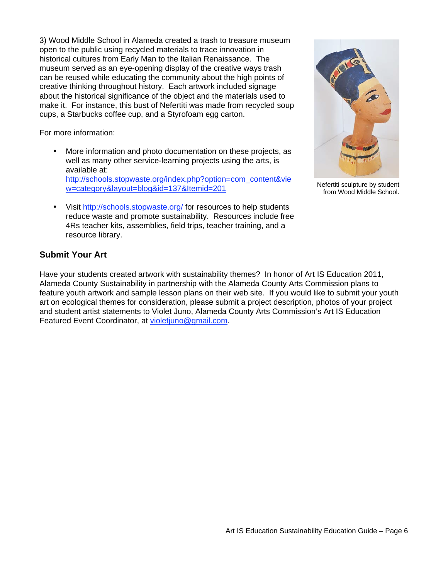3) Wood Middle School in Alameda created a trash to treasure museum open to the public using recycled materials to trace innovation in historical cultures from Early Man to the Italian Renaissance. The museum served as an eye-opening display of the creative ways trash can be reused while educating the community about the high points of creative thinking throughout history. Each artwork included signage about the historical significance of the object and the materials used to make it. For instance, this bust of Nefertiti was made from recycled soup cups, a Starbucks coffee cup, and a Styrofoam egg carton.

For more information:

- More information and photo documentation on these projects, as well as many other service-learning projects using the arts, is available at: http://schools.stopwaste.org/index.php?option=com\_content&vie w=category&layout=blog&id=137&Itemid=201
- Visit http://schools.stopwaste.org/ for resources to help students reduce waste and promote sustainability. Resources include free 4Rs teacher kits, assemblies, field trips, teacher training, and a resource library.



Nefertiti sculpture by student from Wood Middle School.

### **Submit Your Art**

Have your students created artwork with sustainability themes? In honor of Art IS Education 2011, Alameda County Sustainability in partnership with the Alameda County Arts Commission plans to feature youth artwork and sample lesson plans on their web site. If you would like to submit your youth art on ecological themes for consideration, please submit a project description, photos of your project and student artist statements to Violet Juno, Alameda County Arts Commission's Art IS Education Featured Event Coordinator, at violetjuno@gmail.com.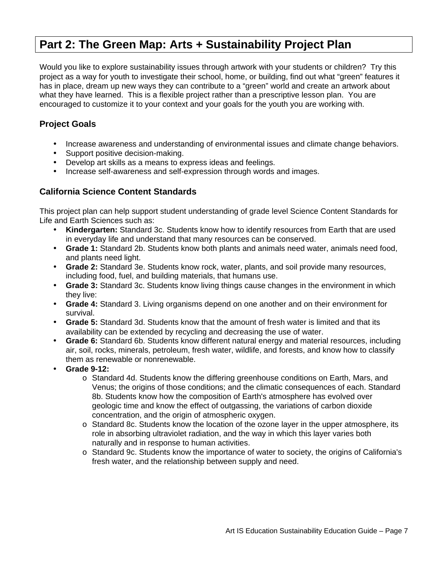### **Part 2: The Green Map: Arts + Sustainability Project Plan**

Would you like to explore sustainability issues through artwork with your students or children? Try this project as a way for youth to investigate their school, home, or building, find out what "green" features it has in place, dream up new ways they can contribute to a "green" world and create an artwork about what they have learned. This is a flexible project rather than a prescriptive lesson plan. You are encouraged to customize it to your context and your goals for the youth you are working with.

### **Project Goals**

- Increase awareness and understanding of environmental issues and climate change behaviors.
- Support positive decision-making.
- Develop art skills as a means to express ideas and feelings.
- Increase self-awareness and self-expression through words and images.

### **California Science Content Standards**

This project plan can help support student understanding of grade level Science Content Standards for Life and Earth Sciences such as:

- **Kindergarten:** Standard 3c. Students know how to identify resources from Earth that are used in everyday life and understand that many resources can be conserved.
- **Grade 1:** Standard 2b. Students know both plants and animals need water, animals need food, and plants need light.
- **Grade 2:** Standard 3e. Students know rock, water, plants, and soil provide many resources, including food, fuel, and building materials, that humans use.
- **Grade 3:** Standard 3c. Students know living things cause changes in the environment in which they live:
- **Grade 4:** Standard 3. Living organisms depend on one another and on their environment for survival.
- **Grade 5:** Standard 3d. Students know that the amount of fresh water is limited and that its availability can be extended by recycling and decreasing the use of water.
- **Grade 6:** Standard 6b. Students know different natural energy and material resources, including air, soil, rocks, minerals, petroleum, fresh water, wildlife, and forests, and know how to classify them as renewable or nonrenewable.
- **Grade 9-12:**
	- o Standard 4d. Students know the differing greenhouse conditions on Earth, Mars, and Venus; the origins of those conditions; and the climatic consequences of each. Standard 8b. Students know how the composition of Earth's atmosphere has evolved over geologic time and know the effect of outgassing, the variations of carbon dioxide concentration, and the origin of atmospheric oxygen.
	- o Standard 8c. Students know the location of the ozone layer in the upper atmosphere, its role in absorbing ultraviolet radiation, and the way in which this layer varies both naturally and in response to human activities.
	- o Standard 9c. Students know the importance of water to society, the origins of California's fresh water, and the relationship between supply and need.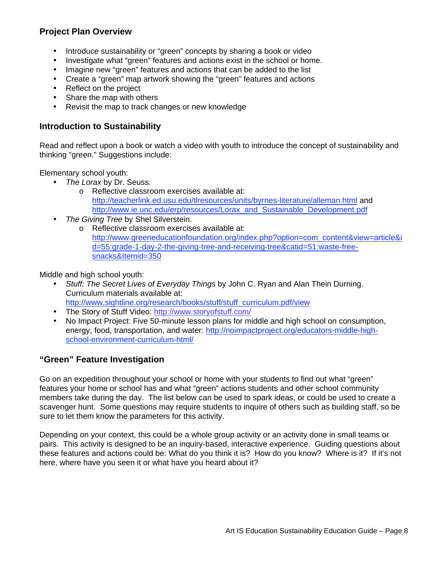### **Project Plan Overview**

- Introduce sustainability or "green" concepts by sharing a book or video
- Investigate what "green" features and actions exist in the school or home.
- Imagine new "green" features and actions that can be added to the list
- Create a "green" map artwork showing the "green" features and actions
- Reflect on the project
- Share the map with others
- Revisit the map to track changes or new knowledge

### **Introduction to Sustainability**

Read and reflect upon a book or watch a video with youth to introduce the concept of sustainability and thinking "green." Suggestions include:

Elementary school youth:

- *The Lorax* by Dr. Seuss.
	- o Reflective classroom exercises available at: http://teacherlink.ed.usu.edu/tlresources/units/byrnes-literature/alleman.html and http://www.ie.unc.edu/erp/resources/Lorax\_and\_Sustainable\_Development.pdf
- *The Giving Tree* by Shel Silverstein.
	- o Reflective classroom exercises available at: http://www.greeneducationfoundation.org/index.php?option=com\_content&view=article&i d=55:grade-1-day-2-the-giving-tree-and-receiving-tree&catid=51:waste-freesnacks&Itemid=350

Middle and high school youth:

• *Stuff: The Secret Lives of Everyday Things* by John C. Ryan and Alan Thein Durning. Curriculum materials available at:

http://www.sightline.org/research/books/stuff/stuff\_curriculum.pdf/view

- The Story of Stuff Video: http://www.storyofstuff.com/
- No Impact Project: Five 50-minute lesson plans for middle and high school on consumption, energy, food, transportation, and water: http://noimpactproject.org/educators-middle-highschool-environment-curriculum-html/

### **"Green" Feature Investigation**

Go on an expedition throughout your school or home with your students to find out what "green" features your home or school has and what "green" actions students and other school community members take during the day. The list below can be used to spark ideas, or could be used to create a scavenger hunt. Some questions may require students to inquire of others such as building staff, so be sure to let them know the parameters for this activity.

Depending on your context, this could be a whole group activity or an activity done in small teams or pairs. This activity is designed to be an inquiry-based, interactive experience. Guiding questions about these features and actions could be: What do you think it is? How do you know? Where is it? If it's not here, where have you seen it or what have you heard about it?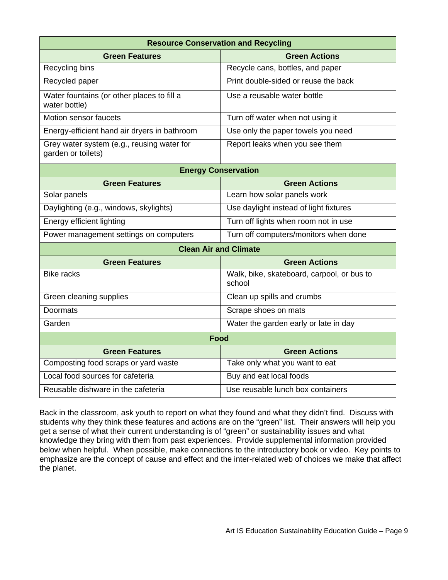| <b>Resource Conservation and Recycling</b>                       |                                                      |  |
|------------------------------------------------------------------|------------------------------------------------------|--|
| <b>Green Features</b>                                            | <b>Green Actions</b>                                 |  |
| Recycling bins                                                   | Recycle cans, bottles, and paper                     |  |
| Recycled paper                                                   | Print double-sided or reuse the back                 |  |
| Water fountains (or other places to fill a<br>water bottle)      | Use a reusable water bottle                          |  |
| Motion sensor faucets                                            | Turn off water when not using it                     |  |
| Energy-efficient hand air dryers in bathroom                     | Use only the paper towels you need                   |  |
| Grey water system (e.g., reusing water for<br>garden or toilets) | Report leaks when you see them                       |  |
| <b>Energy Conservation</b>                                       |                                                      |  |
| <b>Green Features</b>                                            | <b>Green Actions</b>                                 |  |
| Solar panels                                                     | Learn how solar panels work                          |  |
| Daylighting (e.g., windows, skylights)                           | Use daylight instead of light fixtures               |  |
| Energy efficient lighting                                        | Turn off lights when room not in use                 |  |
| Power management settings on computers                           | Turn off computers/monitors when done                |  |
| <b>Clean Air and Climate</b>                                     |                                                      |  |
| <b>Green Features</b>                                            | <b>Green Actions</b>                                 |  |
| <b>Bike racks</b>                                                | Walk, bike, skateboard, carpool, or bus to<br>school |  |
| Green cleaning supplies                                          | Clean up spills and crumbs                           |  |
| Doormats                                                         | Scrape shoes on mats                                 |  |
| Garden                                                           | Water the garden early or late in day                |  |
| Food                                                             |                                                      |  |
| <b>Green Features</b>                                            | <b>Green Actions</b>                                 |  |
| Composting food scraps or yard waste                             | Take only what you want to eat                       |  |
| Local food sources for cafeteria                                 | Buy and eat local foods                              |  |
| Reusable dishware in the cafeteria                               | Use reusable lunch box containers                    |  |

Back in the classroom, ask youth to report on what they found and what they didn't find. Discuss with students why they think these features and actions are on the "green" list. Their answers will help you get a sense of what their current understanding is of "green" or sustainability issues and what knowledge they bring with them from past experiences. Provide supplemental information provided below when helpful. When possible, make connections to the introductory book or video. Key points to emphasize are the concept of cause and effect and the inter-related web of choices we make that affect the planet.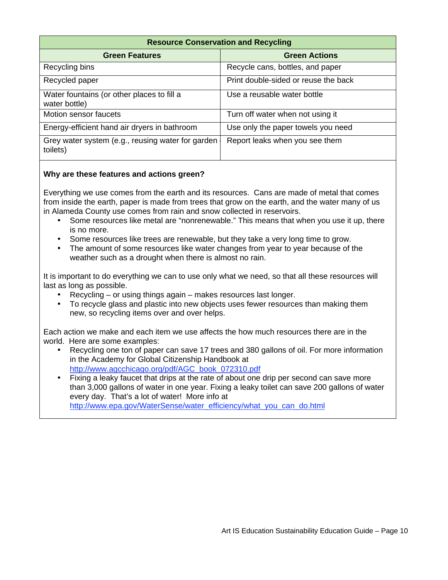| <b>Resource Conservation and Recycling</b>                    |                                      |  |
|---------------------------------------------------------------|--------------------------------------|--|
| <b>Green Features</b>                                         | <b>Green Actions</b>                 |  |
| Recycling bins                                                | Recycle cans, bottles, and paper     |  |
| Recycled paper                                                | Print double-sided or reuse the back |  |
| Water fountains (or other places to fill a<br>water bottle)   | Use a reusable water bottle          |  |
| Motion sensor faucets                                         | Turn off water when not using it     |  |
| Energy-efficient hand air dryers in bathroom                  | Use only the paper towels you need   |  |
| Grey water system (e.g., reusing water for garden<br>toilets) | Report leaks when you see them       |  |

Everything we use comes from the earth and its resources. Cans are made of metal that comes from inside the earth, paper is made from trees that grow on the earth, and the water many of us in Alameda County use comes from rain and snow collected in reservoirs.

- Some resources like metal are "nonrenewable." This means that when you use it up, there is no more.
- Some resources like trees are renewable, but they take a very long time to grow.
- The amount of some resources like water changes from year to year because of the weather such as a drought when there is almost no rain.

It is important to do everything we can to use only what we need, so that all these resources will last as long as possible.

- Recycling or using things again makes resources last longer.
- To recycle glass and plastic into new objects uses fewer resources than making them new, so recycling items over and over helps.

Each action we make and each item we use affects the how much resources there are in the world. Here are some examples:

- Recycling one ton of paper can save 17 trees and 380 gallons of oil. For more information in the Academy for Global Citizenship Handbook at http://www.agcchicago.org/pdf/AGC\_book\_072310.pdf
- Fixing a leaky faucet that drips at the rate of about one drip per second can save more than 3,000 gallons of water in one year. Fixing a leaky toilet can save 200 gallons of water every day. That's a lot of water! More info at http://www.epa.gov/WaterSense/water\_efficiency/what\_you\_can\_do.html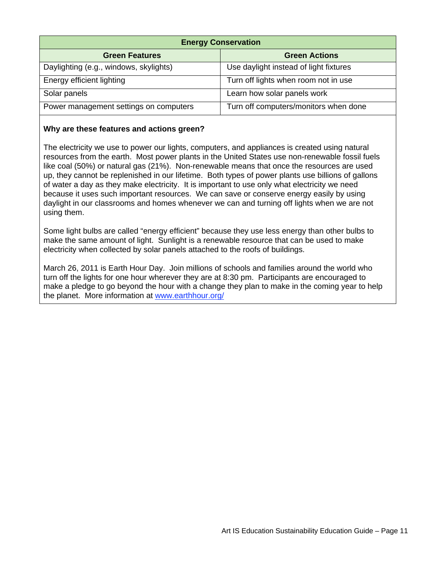| <b>Energy Conservation</b>             |                                        |  |
|----------------------------------------|----------------------------------------|--|
| <b>Green Features</b>                  | <b>Green Actions</b>                   |  |
| Daylighting (e.g., windows, skylights) | Use daylight instead of light fixtures |  |
| Energy efficient lighting              | Turn off lights when room not in use   |  |
| Solar panels                           | Learn how solar panels work            |  |
| Power management settings on computers | Turn off computers/monitors when done  |  |

The electricity we use to power our lights, computers, and appliances is created using natural resources from the earth. Most power plants in the United States use non-renewable fossil fuels like coal (50%) or natural gas (21%). Non-renewable means that once the resources are used up, they cannot be replenished in our lifetime. Both types of power plants use billions of gallons of water a day as they make electricity. It is important to use only what electricity we need because it uses such important resources. We can save or conserve energy easily by using daylight in our classrooms and homes whenever we can and turning off lights when we are not using them.

Some light bulbs are called "energy efficient" because they use less energy than other bulbs to make the same amount of light. Sunlight is a renewable resource that can be used to make electricity when collected by solar panels attached to the roofs of buildings.

March 26, 2011 is Earth Hour Day. Join millions of schools and families around the world who turn off the lights for one hour wherever they are at 8:30 pm. Participants are encouraged to make a pledge to go beyond the hour with a change they plan to make in the coming year to help the planet. More information at www.earthhour.org/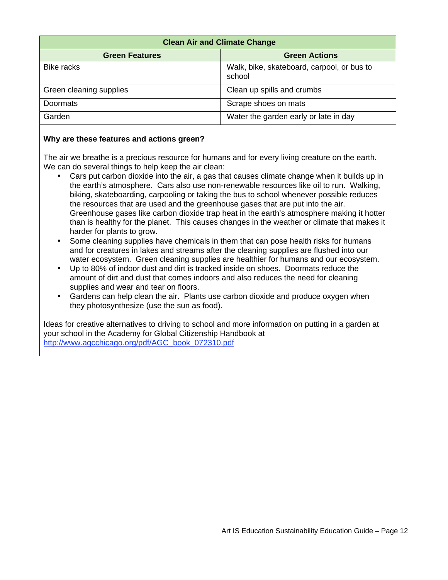| <b>Clean Air and Climate Change</b> |                                                      |  |
|-------------------------------------|------------------------------------------------------|--|
| <b>Green Features</b>               | <b>Green Actions</b>                                 |  |
| <b>Bike racks</b>                   | Walk, bike, skateboard, carpool, or bus to<br>school |  |
| Green cleaning supplies             | Clean up spills and crumbs                           |  |
| Doormats                            | Scrape shoes on mats                                 |  |
| Garden                              | Water the garden early or late in day                |  |

The air we breathe is a precious resource for humans and for every living creature on the earth. We can do several things to help keep the air clean:

- Cars put carbon dioxide into the air, a gas that causes climate change when it builds up in the earth's atmosphere. Cars also use non-renewable resources like oil to run. Walking, biking, skateboarding, carpooling or taking the bus to school whenever possible reduces the resources that are used and the greenhouse gases that are put into the air. Greenhouse gases like carbon dioxide trap heat in the earth's atmosphere making it hotter than is healthy for the planet. This causes changes in the weather or climate that makes it harder for plants to grow.
- Some cleaning supplies have chemicals in them that can pose health risks for humans and for creatures in lakes and streams after the cleaning supplies are flushed into our water ecosystem. Green cleaning supplies are healthier for humans and our ecosystem.
- Up to 80% of indoor dust and dirt is tracked inside on shoes. Doormats reduce the amount of dirt and dust that comes indoors and also reduces the need for cleaning supplies and wear and tear on floors.
- Gardens can help clean the air. Plants use carbon dioxide and produce oxygen when they photosynthesize (use the sun as food).

Ideas for creative alternatives to driving to school and more information on putting in a garden at your school in the Academy for Global Citizenship Handbook at http://www.agcchicago.org/pdf/AGC\_book\_072310.pdf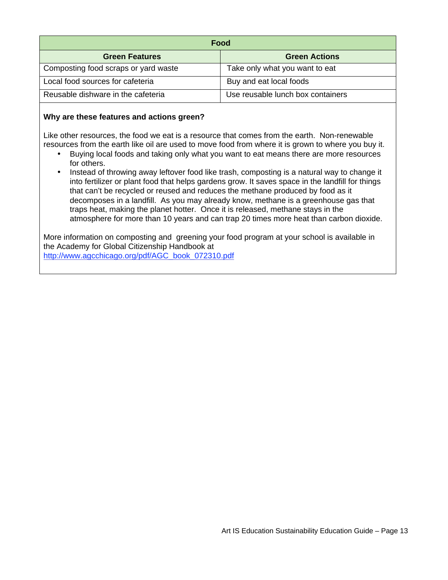| Food                                 |                                   |  |
|--------------------------------------|-----------------------------------|--|
| <b>Green Features</b>                | <b>Green Actions</b>              |  |
| Composting food scraps or yard waste | Take only what you want to eat    |  |
| Local food sources for cafeteria     | Buy and eat local foods           |  |
| Reusable dishware in the cafeteria   | Use reusable lunch box containers |  |

Like other resources, the food we eat is a resource that comes from the earth. Non-renewable resources from the earth like oil are used to move food from where it is grown to where you buy it.

- Buying local foods and taking only what you want to eat means there are more resources for others.
- Instead of throwing away leftover food like trash, composting is a natural way to change it into fertilizer or plant food that helps gardens grow. It saves space in the landfill for things that can't be recycled or reused and reduces the methane produced by food as it decomposes in a landfill. As you may already know, methane is a greenhouse gas that traps heat, making the planet hotter. Once it is released, methane stays in the atmosphere for more than 10 years and can trap 20 times more heat than carbon dioxide.

More information on composting and greening your food program at your school is available in the Academy for Global Citizenship Handbook at http://www.agcchicago.org/pdf/AGC\_book\_072310.pdf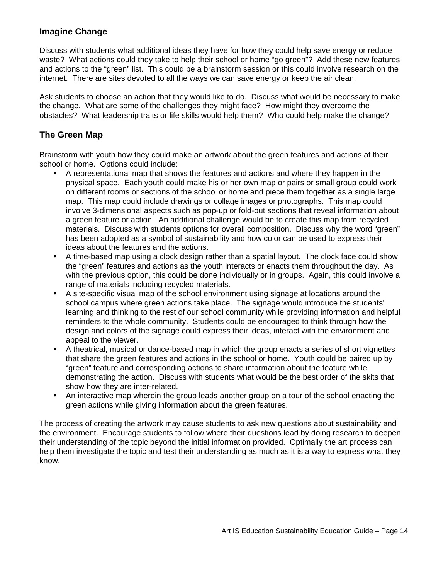### **Imagine Change**

Discuss with students what additional ideas they have for how they could help save energy or reduce waste? What actions could they take to help their school or home "go green"? Add these new features and actions to the "green" list. This could be a brainstorm session or this could involve research on the internet. There are sites devoted to all the ways we can save energy or keep the air clean.

Ask students to choose an action that they would like to do. Discuss what would be necessary to make the change. What are some of the challenges they might face? How might they overcome the obstacles? What leadership traits or life skills would help them? Who could help make the change?

### **The Green Map**

Brainstorm with youth how they could make an artwork about the green features and actions at their school or home. Options could include:

- A representational map that shows the features and actions and where they happen in the physical space. Each youth could make his or her own map or pairs or small group could work on different rooms or sections of the school or home and piece them together as a single large map. This map could include drawings or collage images or photographs. This map could involve 3-dimensional aspects such as pop-up or fold-out sections that reveal information about a green feature or action. An additional challenge would be to create this map from recycled materials. Discuss with students options for overall composition. Discuss why the word "green" has been adopted as a symbol of sustainability and how color can be used to express their ideas about the features and the actions.
- A time-based map using a clock design rather than a spatial layout. The clock face could show the "green" features and actions as the youth interacts or enacts them throughout the day. As with the previous option, this could be done individually or in groups. Again, this could involve a range of materials including recycled materials.
- A site-specific visual map of the school environment using signage at locations around the school campus where green actions take place. The signage would introduce the students' learning and thinking to the rest of our school community while providing information and helpful reminders to the whole community. Students could be encouraged to think through how the design and colors of the signage could express their ideas, interact with the environment and appeal to the viewer.
- A theatrical, musical or dance-based map in which the group enacts a series of short vignettes that share the green features and actions in the school or home. Youth could be paired up by "green" feature and corresponding actions to share information about the feature while demonstrating the action. Discuss with students what would be the best order of the skits that show how they are inter-related.
- An interactive map wherein the group leads another group on a tour of the school enacting the green actions while giving information about the green features.

The process of creating the artwork may cause students to ask new questions about sustainability and the environment. Encourage students to follow where their questions lead by doing research to deepen their understanding of the topic beyond the initial information provided. Optimally the art process can help them investigate the topic and test their understanding as much as it is a way to express what they know.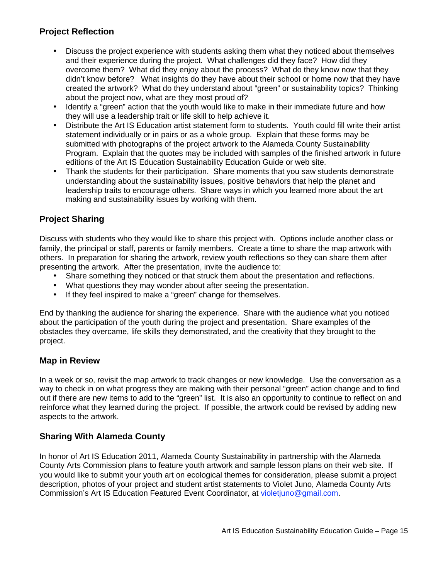### **Project Reflection**

- Discuss the project experience with students asking them what they noticed about themselves and their experience during the project. What challenges did they face? How did they overcome them? What did they enjoy about the process? What do they know now that they didn't know before? What insights do they have about their school or home now that they have created the artwork? What do they understand about "green" or sustainability topics? Thinking about the project now, what are they most proud of?
- Identify a "green" action that the youth would like to make in their immediate future and how they will use a leadership trait or life skill to help achieve it.
- Distribute the Art IS Education artist statement form to students. Youth could fill write their artist statement individually or in pairs or as a whole group. Explain that these forms may be submitted with photographs of the project artwork to the Alameda County Sustainability Program. Explain that the quotes may be included with samples of the finished artwork in future editions of the Art IS Education Sustainability Education Guide or web site.
- Thank the students for their participation. Share moments that you saw students demonstrate understanding about the sustainability issues, positive behaviors that help the planet and leadership traits to encourage others. Share ways in which you learned more about the art making and sustainability issues by working with them.

### **Project Sharing**

Discuss with students who they would like to share this project with. Options include another class or family, the principal or staff, parents or family members. Create a time to share the map artwork with others. In preparation for sharing the artwork, review youth reflections so they can share them after presenting the artwork. After the presentation, invite the audience to:

- Share something they noticed or that struck them about the presentation and reflections.
- What questions they may wonder about after seeing the presentation.
- If they feel inspired to make a "green" change for themselves.

End by thanking the audience for sharing the experience. Share with the audience what you noticed about the participation of the youth during the project and presentation. Share examples of the obstacles they overcame, life skills they demonstrated, and the creativity that they brought to the project.

### **Map in Review**

In a week or so, revisit the map artwork to track changes or new knowledge. Use the conversation as a way to check in on what progress they are making with their personal "green" action change and to find out if there are new items to add to the "green" list. It is also an opportunity to continue to reflect on and reinforce what they learned during the project. If possible, the artwork could be revised by adding new aspects to the artwork.

### **Sharing With Alameda County**

In honor of Art IS Education 2011, Alameda County Sustainability in partnership with the Alameda County Arts Commission plans to feature youth artwork and sample lesson plans on their web site. If you would like to submit your youth art on ecological themes for consideration, please submit a project description, photos of your project and student artist statements to Violet Juno, Alameda County Arts Commission's Art IS Education Featured Event Coordinator, at violetjuno@gmail.com.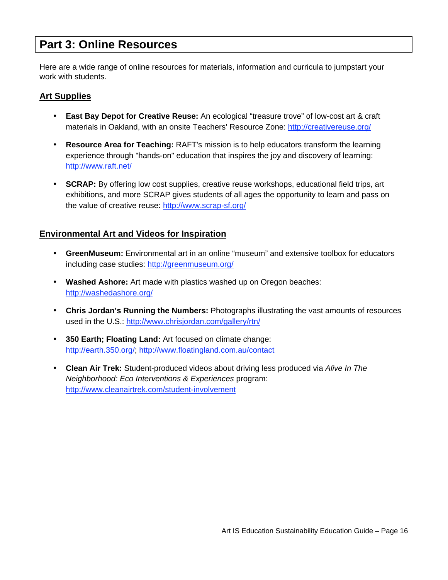### **Part 3: Online Resources**

Here are a wide range of online resources for materials, information and curricula to jumpstart your work with students.

### **Art Supplies**

- **East Bay Depot for Creative Reuse:** An ecological "treasure trove" of low-cost art & craft materials in Oakland, with an onsite Teachers' Resource Zone: http://creativereuse.org/
- **Resource Area for Teaching:** RAFT's mission is to help educators transform the learning experience through "hands-on" education that inspires the joy and discovery of learning: http://www.raft.net/
- **SCRAP:** By offering low cost supplies, creative reuse workshops, educational field trips, art exhibitions, and more SCRAP gives students of all ages the opportunity to learn and pass on the value of creative reuse: http://www.scrap-sf.org/

### **Environmental Art and Videos for Inspiration**

- **GreenMuseum:** Environmental art in an online "museum" and extensive toolbox for educators including case studies: http://greenmuseum.org/
- **Washed Ashore:** Art made with plastics washed up on Oregon beaches: http://washedashore.org/
- **Chris Jordan's Running the Numbers:** Photographs illustrating the vast amounts of resources used in the U.S.: http://www.chrisjordan.com/gallery/rtn/
- **350 Earth; Floating Land:** Art focused on climate change: http://earth.350.org/; http://www.floatingland.com.au/contact
- **Clean Air Trek:** Student-produced videos about driving less produced via *Alive In The Neighborhood: Eco Interventions & Experiences* program: http://www.cleanairtrek.com/student-involvement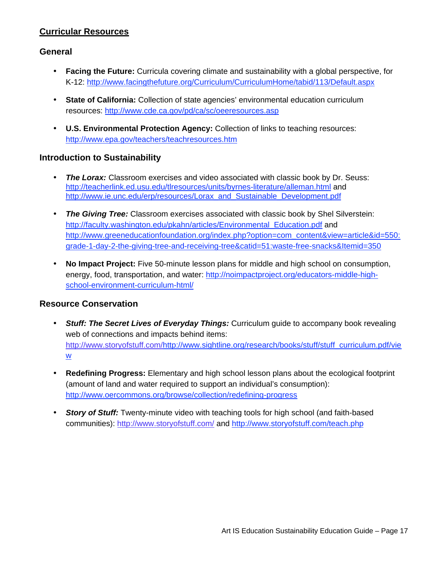### **Curricular Resources**

### **General**

- **Facing the Future:** Curricula covering climate and sustainability with a global perspective, for K-12: http://www.facingthefuture.org/Curriculum/CurriculumHome/tabid/113/Default.aspx
- **State of California:** Collection of state agencies' environmental education curriculum resources: http://www.cde.ca.gov/pd/ca/sc/oeeresources.asp
- **U.S. Environmental Protection Agency:** Collection of links to teaching resources: http://www.epa.gov/teachers/teachresources.htm

### **Introduction to Sustainability**

- **The Lorax:** Classroom exercises and video associated with classic book by Dr. Seuss: http://teacherlink.ed.usu.edu/tlresources/units/byrnes-literature/alleman.html and http://www.ie.unc.edu/erp/resources/Lorax\_and\_Sustainable\_Development.pdf
- *The Giving Tree:* Classroom exercises associated with classic book by Shel Silverstein: http://faculty.washington.edu/pkahn/articles/Environmental\_Education.pdf and http://www.greeneducationfoundation.org/index.php?option=com\_content&view=article&id=550: grade-1-day-2-the-giving-tree-and-receiving-tree&catid=51:waste-free-snacks&Itemid=350
- **No Impact Project:** Five 50-minute lesson plans for middle and high school on consumption, energy, food, transportation, and water: http://noimpactproject.org/educators-middle-highschool-environment-curriculum-html/

### **Resource Conservation**

- *Stuff: The Secret Lives of Everyday Things:* Curriculum guide to accompany book revealing web of connections and impacts behind items: http://www.storyofstuff.com/http://www.sightline.org/research/books/stuff/stuff\_curriculum.pdf/vie w
- **Redefining Progress:** Elementary and high school lesson plans about the ecological footprint (amount of land and water required to support an individual's consumption): http://www.oercommons.org/browse/collection/redefining-progress
- *Story of Stuff:* Twenty-minute video with teaching tools for high school (and faith-based communities): http://www.storyofstuff.com/ and http://www.storyofstuff.com/teach.php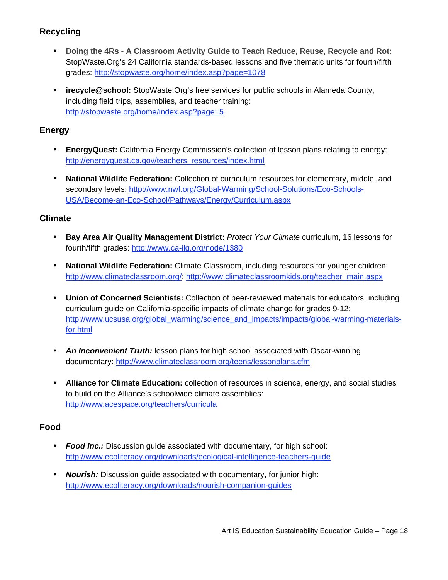### **Recycling**

- **Doing the 4Rs A Classroom Activity Guide to Teach Reduce, Reuse, Recycle and Rot:** StopWaste.Org's 24 California standards-based lessons and five thematic units for fourth/fifth grades: http://stopwaste.org/home/index.asp?page=1078
- **irecycle@school:** StopWaste.Org's free services for public schools in Alameda County, including field trips, assemblies, and teacher training: http://stopwaste.org/home/index.asp?page=5

### **Energy**

- **EnergyQuest:** California Energy Commission's collection of lesson plans relating to energy: http://energyquest.ca.gov/teachers\_resources/index.html
- **National Wildlife Federation:** Collection of curriculum resources for elementary, middle, and secondary levels: http://www.nwf.org/Global-Warming/School-Solutions/Eco-Schools-USA/Become-an-Eco-School/Pathways/Energy/Curriculum.aspx

### **Climate**

- **Bay Area Air Quality Management District:** *Protect Your Climate* curriculum, 16 lessons for fourth/fifth grades: http://www.ca-ilg.org/node/1380
- **National Wildlife Federation:** Climate Classroom, including resources for younger children: http://www.climateclassroom.org/; http://www.climateclassroomkids.org/teacher\_main.aspx
- **Union of Concerned Scientists:** Collection of peer-reviewed materials for educators, including curriculum guide on California-specific impacts of climate change for grades 9-12: http://www.ucsusa.org/global\_warming/science\_and\_impacts/impacts/global-warming-materialsfor.html
- An Inconvenient Truth: lesson plans for high school associated with Oscar-winning documentary: http://www.climateclassroom.org/teens/lessonplans.cfm
- **Alliance for Climate Education:** collection of resources in science, energy, and social studies to build on the Alliance's schoolwide climate assemblies: http://www.acespace.org/teachers/curricula

### **Food**

- *Food Inc.:* Discussion guide associated with documentary, for high school: http://www.ecoliteracy.org/downloads/ecological-intelligence-teachers-guide
- *Nourish:* Discussion guide associated with documentary, for junior high: http://www.ecoliteracy.org/downloads/nourish-companion-guides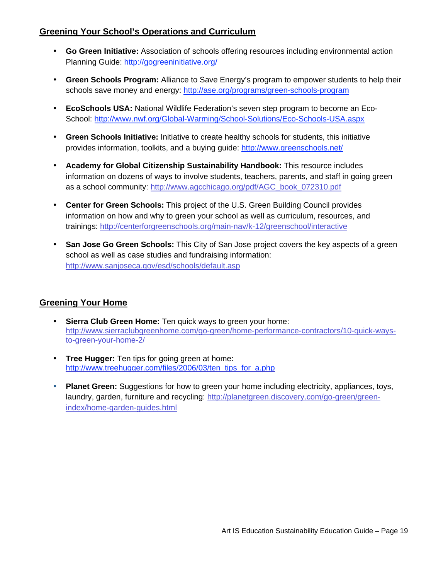### **Greening Your School's Operations and Curriculum**

- **Go Green Initiative:** Association of schools offering resources including environmental action Planning Guide: http://gogreeninitiative.org/
- **Green Schools Program:** Alliance to Save Energy's program to empower students to help their schools save money and energy: http://ase.org/programs/green-schools-program
- **EcoSchools USA:** National Wildlife Federation's seven step program to become an Eco-School: http://www.nwf.org/Global-Warming/School-Solutions/Eco-Schools-USA.aspx
- **Green Schools Initiative:** Initiative to create healthy schools for students, this initiative provides information, toolkits, and a buying guide: http://www.greenschools.net/
- **Academy for Global Citizenship Sustainability Handbook:** This resource includes information on dozens of ways to involve students, teachers, parents, and staff in going green as a school community: http://www.agcchicago.org/pdf/AGC\_book\_072310.pdf
- **Center for Green Schools:** This project of the U.S. Green Building Council provides information on how and why to green your school as well as curriculum, resources, and trainings: http://centerforgreenschools.org/main-nav/k-12/greenschool/interactive
- **San Jose Go Green Schools:** This City of San Jose project covers the key aspects of a green school as well as case studies and fundraising information: http://www.sanjoseca.gov/esd/schools/default.asp

### **Greening Your Home**

- **Sierra Club Green Home:** Ten quick ways to green your home: http://www.sierraclubgreenhome.com/go-green/home-performance-contractors/10-quick-waysto-green-your-home-2/
- **Tree Hugger:** Ten tips for going green at home: http://www.treehugger.com/files/2006/03/ten\_tips\_for\_a.php
- **Planet Green:** Suggestions for how to green your home including electricity, appliances, toys, laundry, garden, furniture and recycling: http://planetgreen.discovery.com/go-green/greenindex/home-garden-guides.html